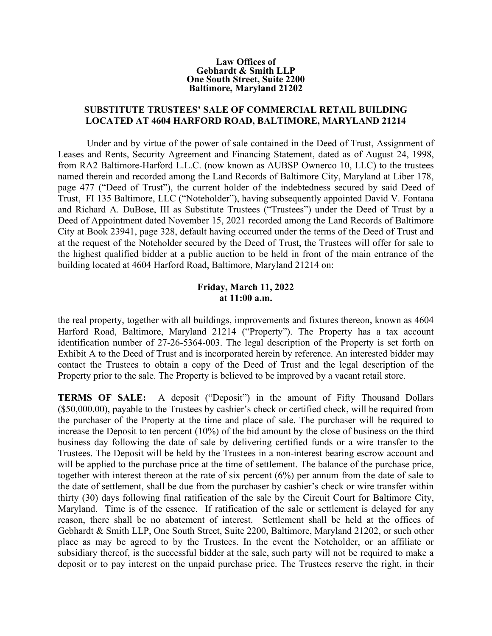## **Law Offices of Gebhardt & Smith LLP One South Street, Suite 2200 Baltimore, Maryland 21202**

## **SUBSTITUTE TRUSTEES' SALE OF COMMERCIAL RETAIL BUILDING LOCATED AT 4604 HARFORD ROAD, BALTIMORE, MARYLAND 21214**

Under and by virtue of the power of sale contained in the Deed of Trust, Assignment of Leases and Rents, Security Agreement and Financing Statement, dated as of August 24, 1998, from RA2 Baltimore-Harford L.L.C. (now known as AUBSP Ownerco 10, LLC) to the trustees named therein and recorded among the Land Records of Baltimore City, Maryland at Liber 178, page 477 ("Deed of Trust"), the current holder of the indebtedness secured by said Deed of Trust, FI 135 Baltimore, LLC ("Noteholder"), having subsequently appointed David V. Fontana and Richard A. DuBose, III as Substitute Trustees ("Trustees") under the Deed of Trust by a Deed of Appointment dated November 15, 2021 recorded among the Land Records of Baltimore City at Book 23941, page 328, default having occurred under the terms of the Deed of Trust and at the request of the Noteholder secured by the Deed of Trust, the Trustees will offer for sale to the highest qualified bidder at a public auction to be held in front of the main entrance of the building located at 4604 Harford Road, Baltimore, Maryland 21214 on:

## **Friday, March 11, 2022 at 11:00 a.m.**

the real property, together with all buildings, improvements and fixtures thereon, known as 4604 Harford Road, Baltimore, Maryland 21214 ("Property"). The Property has a tax account identification number of 27-26-5364-003. The legal description of the Property is set forth on Exhibit A to the Deed of Trust and is incorporated herein by reference. An interested bidder may contact the Trustees to obtain a copy of the Deed of Trust and the legal description of the Property prior to the sale. The Property is believed to be improved by a vacant retail store.

**TERMS OF SALE:** A deposit ("Deposit") in the amount of Fifty Thousand Dollars (\$50,000.00), payable to the Trustees by cashier's check or certified check, will be required from the purchaser of the Property at the time and place of sale. The purchaser will be required to increase the Deposit to ten percent (10%) of the bid amount by the close of business on the third business day following the date of sale by delivering certified funds or a wire transfer to the Trustees. The Deposit will be held by the Trustees in a non-interest bearing escrow account and will be applied to the purchase price at the time of settlement. The balance of the purchase price, together with interest thereon at the rate of six percent (6%) per annum from the date of sale to the date of settlement, shall be due from the purchaser by cashier's check or wire transfer within thirty (30) days following final ratification of the sale by the Circuit Court for Baltimore City, Maryland. Time is of the essence. If ratification of the sale or settlement is delayed for any reason, there shall be no abatement of interest. Settlement shall be held at the offices of Gebhardt & Smith LLP, One South Street, Suite 2200, Baltimore, Maryland 21202, or such other place as may be agreed to by the Trustees. In the event the Noteholder, or an affiliate or subsidiary thereof, is the successful bidder at the sale, such party will not be required to make a deposit or to pay interest on the unpaid purchase price. The Trustees reserve the right, in their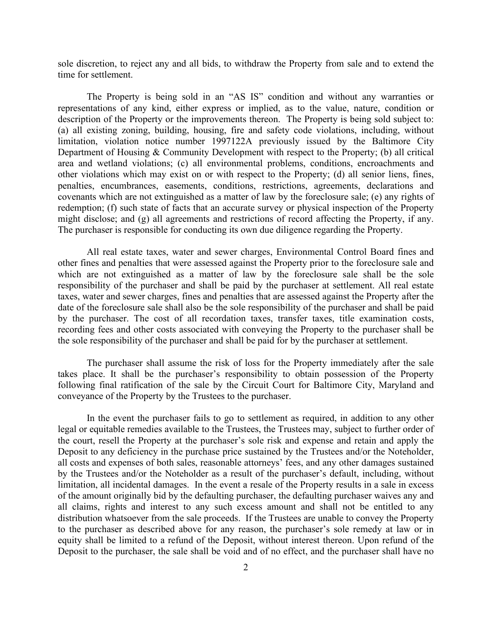sole discretion, to reject any and all bids, to withdraw the Property from sale and to extend the time for settlement.

The Property is being sold in an "AS IS" condition and without any warranties or representations of any kind, either express or implied, as to the value, nature, condition or description of the Property or the improvements thereon. The Property is being sold subject to: (a) all existing zoning, building, housing, fire and safety code violations, including, without limitation, violation notice number 1997122A previously issued by the Baltimore City Department of Housing & Community Development with respect to the Property; (b) all critical area and wetland violations; (c) all environmental problems, conditions, encroachments and other violations which may exist on or with respect to the Property; (d) all senior liens, fines, penalties, encumbrances, easements, conditions, restrictions, agreements, declarations and covenants which are not extinguished as a matter of law by the foreclosure sale; (e) any rights of redemption; (f) such state of facts that an accurate survey or physical inspection of the Property might disclose; and (g) all agreements and restrictions of record affecting the Property, if any. The purchaser is responsible for conducting its own due diligence regarding the Property.

All real estate taxes, water and sewer charges, Environmental Control Board fines and other fines and penalties that were assessed against the Property prior to the foreclosure sale and which are not extinguished as a matter of law by the foreclosure sale shall be the sole responsibility of the purchaser and shall be paid by the purchaser at settlement. All real estate taxes, water and sewer charges, fines and penalties that are assessed against the Property after the date of the foreclosure sale shall also be the sole responsibility of the purchaser and shall be paid by the purchaser. The cost of all recordation taxes, transfer taxes, title examination costs, recording fees and other costs associated with conveying the Property to the purchaser shall be the sole responsibility of the purchaser and shall be paid for by the purchaser at settlement.

The purchaser shall assume the risk of loss for the Property immediately after the sale takes place. It shall be the purchaser's responsibility to obtain possession of the Property following final ratification of the sale by the Circuit Court for Baltimore City, Maryland and conveyance of the Property by the Trustees to the purchaser.

In the event the purchaser fails to go to settlement as required, in addition to any other legal or equitable remedies available to the Trustees, the Trustees may, subject to further order of the court, resell the Property at the purchaser's sole risk and expense and retain and apply the Deposit to any deficiency in the purchase price sustained by the Trustees and/or the Noteholder, all costs and expenses of both sales, reasonable attorneys' fees, and any other damages sustained by the Trustees and/or the Noteholder as a result of the purchaser's default, including, without limitation, all incidental damages. In the event a resale of the Property results in a sale in excess of the amount originally bid by the defaulting purchaser, the defaulting purchaser waives any and all claims, rights and interest to any such excess amount and shall not be entitled to any distribution whatsoever from the sale proceeds. If the Trustees are unable to convey the Property to the purchaser as described above for any reason, the purchaser's sole remedy at law or in equity shall be limited to a refund of the Deposit, without interest thereon. Upon refund of the Deposit to the purchaser, the sale shall be void and of no effect, and the purchaser shall have no